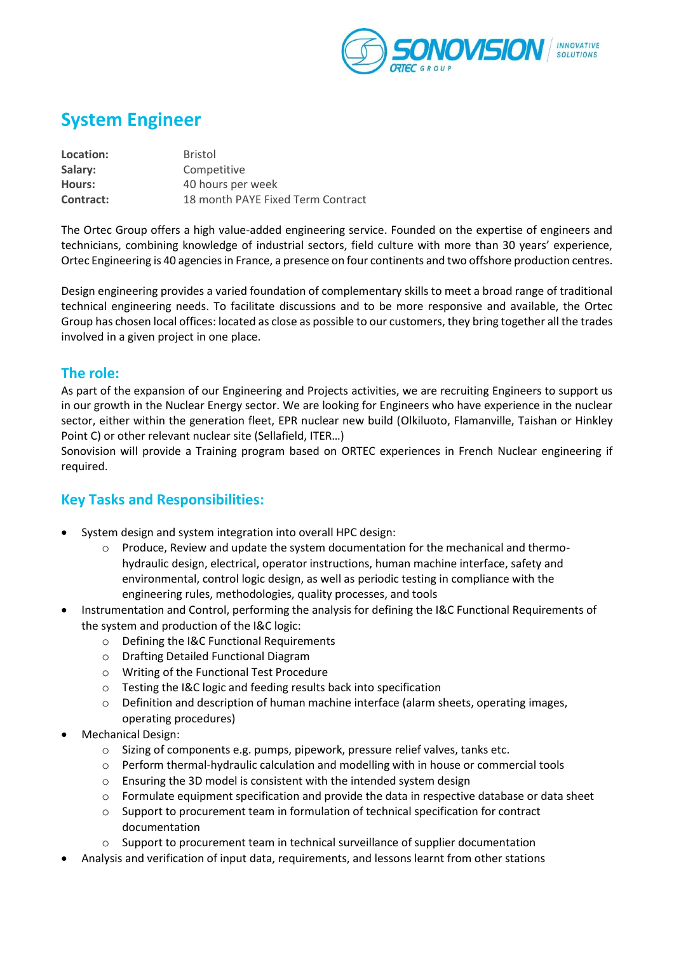

# **System Engineer**

| Location: | <b>Bristol</b>                    |
|-----------|-----------------------------------|
| Salary:   | Competitive                       |
| Hours:    | 40 hours per week                 |
| Contract: | 18 month PAYE Fixed Term Contract |

The Ortec Group offers a high value-added engineering service. Founded on the expertise of engineers and technicians, combining knowledge of industrial sectors, field culture with more than 30 years' experience, Ortec Engineering is 40 agencies in France, a presence on four continents and two offshore production centres.

Design engineering provides a varied foundation of complementary skills to meet a broad range of traditional technical engineering needs. To facilitate discussions and to be more responsive and available, the Ortec Group has chosen local offices: located as close as possible to our customers, they bring together all the trades involved in a given project in one place.

#### **The role:**

As part of the expansion of our Engineering and Projects activities, we are recruiting Engineers to support us in our growth in the Nuclear Energy sector. We are looking for Engineers who have experience in the nuclear sector, either within the generation fleet, EPR nuclear new build (Olkiluoto, Flamanville, Taishan or Hinkley Point C) or other relevant nuclear site (Sellafield, ITER…)

Sonovision will provide a Training program based on ORTEC experiences in French Nuclear engineering if required.

### **Key Tasks and Responsibilities:**

- System design and system integration into overall HPC design:
	- $\circ$  Produce, Review and update the system documentation for the mechanical and thermohydraulic design, electrical, operator instructions, human machine interface, safety and environmental, control logic design, as well as periodic testing in compliance with the engineering rules, methodologies, quality processes, and tools
- Instrumentation and Control, performing the analysis for defining the I&C Functional Requirements of the system and production of the I&C logic:
	- o Defining the I&C Functional Requirements
	- o Drafting Detailed Functional Diagram
	- o Writing of the Functional Test Procedure
	- o Testing the I&C logic and feeding results back into specification
	- o Definition and description of human machine interface (alarm sheets, operating images, operating procedures)
- Mechanical Design:
	- o Sizing of components e.g. pumps, pipework, pressure relief valves, tanks etc.
	- o Perform thermal-hydraulic calculation and modelling with in house or commercial tools
	- o Ensuring the 3D model is consistent with the intended system design
	- $\circ$  Formulate equipment specification and provide the data in respective database or data sheet
	- $\circ$  Support to procurement team in formulation of technical specification for contract documentation
	- $\circ$  Support to procurement team in technical surveillance of supplier documentation
	- Analysis and verification of input data, requirements, and lessons learnt from other stations